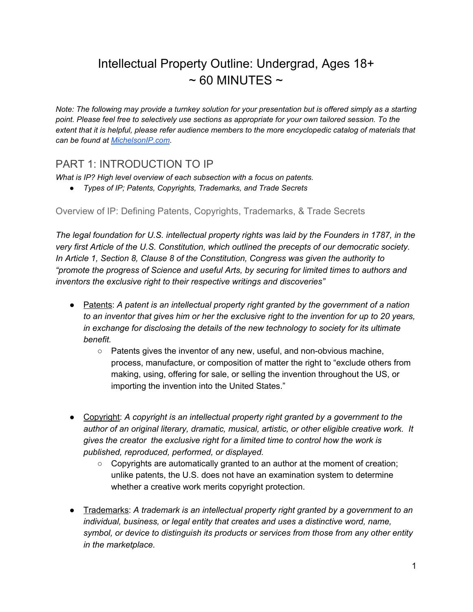# Intellectual Property Outline: Undergrad, Ages 18+  $\sim$  60 MINUTES  $\sim$

*Note: The following may provide a turnkey solution for your presentation but is offered simply as a starting point. Please feel free to selectively use sections as appropriate for your own tailored session. To the extent that it is helpful, please refer audience members to the more encyclopedic catalog of materials that can be found at [MichelsonIP.com.](http://michelsonip.com/intangible-advantage/)*

## PART 1: INTRODUCTION TO IP

*What is IP? High level overview of each subsection with a focus on patents.*

*● Types of IP; Patents, Copyrights, Trademarks, and Trade Secrets*

Overview of IP: Defining Patents, Copyrights, Trademarks, & Trade Secrets

*The legal foundation for U.S. intellectual property rights was laid by the Founders in 1787, in the very first Article of the U.S. Constitution, which outlined the precepts of our democratic society. In Article 1, Section 8, Clause 8 of the Constitution, Congress was given the authority to "promote the progress of Science and useful Arts, by securing for limited times to authors and inventors the exclusive right to their respective writings and discoveries"*

- Patents: *A patent is an intellectual property right granted by the government of a nation to an inventor that gives him or her the exclusive right to the invention for up to 20 years, in exchange for disclosing the details of the new technology to society for its ultimate benefit.*
	- *○* Patents gives the inventor of any new, useful, and non-obvious machine, process, manufacture, or composition of matter the right to "exclude others from making, using, offering for sale, or selling the invention throughout the US, or importing the invention into the United States."
- Copyright: *A copyright is an intellectual property right granted by a government to the author of an original literary, dramatic, musical, artistic, or other eligible creative work. It gives the creator the exclusive right for a limited time to control how the work is published, reproduced, performed, or displayed.*
	- *○* Copyrights are automatically granted to an author at the moment of creation; unlike patents, the U.S. does not have an examination system to determine whether a creative work merits copyright protection.
- Trademarks: *A trademark is an intellectual property right granted by a government to an individual, business, or legal entity that creates and uses a distinctive word, name, symbol, or device to distinguish its products or services from those from any other entity in the marketplace.*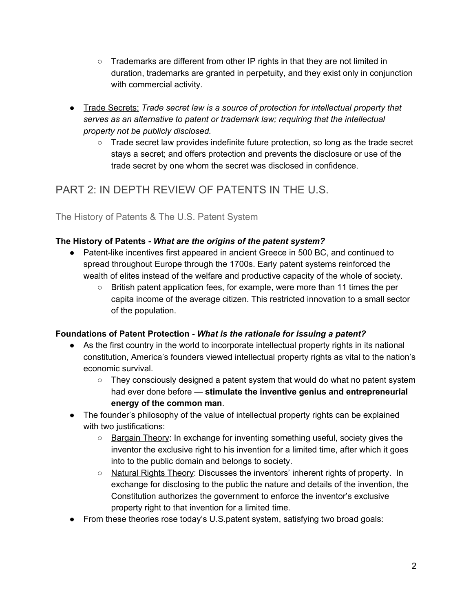- Trademarks are different from other IP rights in that they are not limited in duration, trademarks are granted in perpetuity, and they exist only in conjunction with commercial activity.
- Trade Secrets: *Trade secret law is a source of protection for intellectual property that serves as an alternative to patent or trademark law; requiring that the intellectual property not be publicly disclosed.*
	- Trade secret law provides indefinite future protection, so long as the trade secret stays a secret; and offers protection and prevents the disclosure or use of the trade secret by one whom the secret was disclosed in confidence.

## PART 2: IN DEPTH REVIEW OF PATENTS IN THE U.S.

The History of Patents & The U.S. Patent System

## **The History of Patents -** *What are the origins of the patent system?*

- Patent-like incentives first appeared in ancient Greece in 500 BC, and continued to spread throughout Europe through the 1700s. Early patent systems reinforced the wealth of elites instead of the welfare and productive capacity of the whole of society.
	- British patent application fees, for example, were more than 11 times the per capita income of the average citizen. This restricted innovation to a small sector of the population.

#### **Foundations of Patent Protection -** *W hat is the rationale for issuing a patent?*

- **●** As the first country in the world to incorporate intellectual property rights in its national constitution, America's founders viewed intellectual property rights as vital to the nation's economic survival.
	- **○** They consciously designed a patent system that would do what no patent system had ever done before — **stimulate the inventive genius and entrepreneurial energy of the common man**.
- The founder's philosophy of the value of intellectual property rights can be explained with two justifications:
	- Bargain Theory: In exchange for inventing something useful, society gives the inventor the exclusive right to his invention for a limited time, after which it goes into to the public domain and belongs to society.
	- Natural Rights Theory: Discusses the inventors' inherent rights of property. In exchange for disclosing to the public the nature and details of the invention, the Constitution authorizes the government to enforce the inventor's exclusive property right to that invention for a limited time.
- From these theories rose today's U.S. patent system, satisfying two broad goals: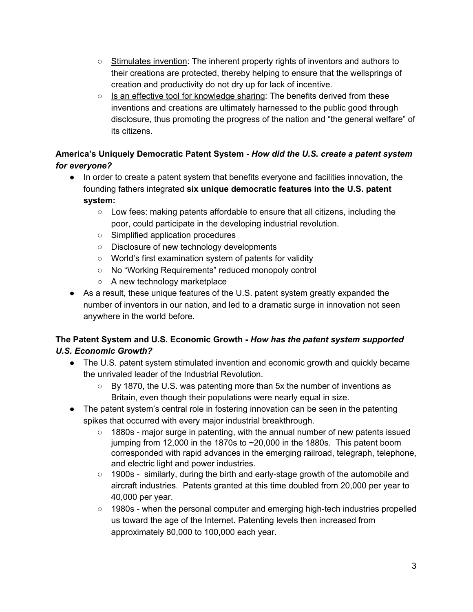- Stimulates invention: The inherent property rights of inventors and authors to their creations are protected, thereby helping to ensure that the wellsprings of creation and productivity do not dry up for lack of incentive.
- $\circ$  Is an effective tool for knowledge sharing: The benefits derived from these inventions and creations are ultimately harnessed to the public good through disclosure, thus promoting the progress of the nation and "the general welfare" of its citizens.

## **America's Uniquely Democratic Patent System -** *H ow did the U.S. create a patent system for everyone?*

- In order to create a patent system that benefits everyone and facilities innovation, the founding fathers integrated **six unique democratic features into the U.S. patent system:**
	- Low fees: making patents affordable to ensure that all citizens, including the poor, could participate in the developing industrial revolution.
	- Simplified application procedures
	- Disclosure of new technology developments
	- World's first examination system of patents for validity
	- No "Working Requirements" reduced monopoly control
	- A new technology marketplace
- As a result, these unique features of the U.S. patent system greatly expanded the number of inventors in our nation, and led to a dramatic surge in innovation not seen anywhere in the world before.

## **The Patent System and U.S. Economic Growth -** *How has the patent system supported U.S. Economic Growth?*

- The U.S. patent system stimulated invention and economic growth and quickly became the unrivaled leader of the Industrial Revolution.
	- By 1870, the U.S. was patenting more than 5x the number of inventions as Britain, even though their populations were nearly equal in size.
- The patent system's central role in fostering innovation can be seen in the patenting spikes that occurred with every major industrial breakthrough.
	- $\circ$  1880s major surge in patenting, with the annual number of new patents issued jumping from 12,000 in the 1870s to  $\sim$  20,000 in the 1880s. This patent boom corresponded with rapid advances in the emerging railroad, telegraph, telephone, and electric light and power industries.
	- 1900s similarly, during the birth and early-stage growth of the automobile and aircraft industries. Patents granted at this time doubled from 20,000 per year to 40,000 per year.
	- 1980s when the personal computer and emerging high-tech industries propelled us toward the age of the Internet. Patenting levels then increased from approximately 80,000 to 100,000 each year.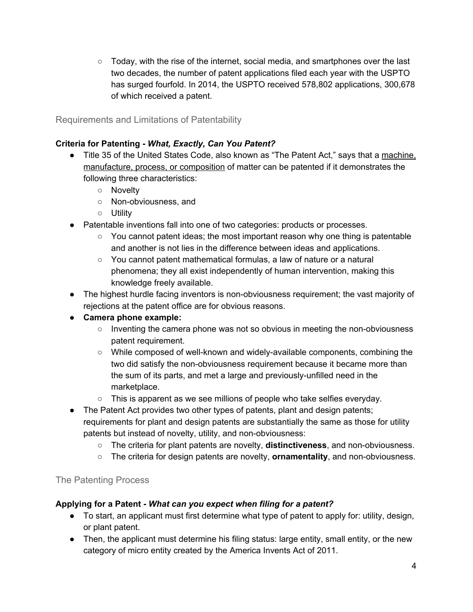○ Today, with the rise of the internet, social media, and smartphones over the last two decades, the number of patent applications filed each year with the USPTO has surged fourfold. In 2014, the USPTO received 578,802 applications, 300,678 of which received a patent.

Requirements and Limitations of Patentability

## **Criteria for Patenting -** *What, Exactly, Can You Patent?*

- Title 35 of the United States Code, also known as "The Patent Act," says that a machine, manufacture, process, or composition of matter can be patented if it demonstrates the following three characteristics:
	- Novelty
	- Non-obviousness, and
	- Utility
- Patentable inventions fall into one of two categories: products or processes.
	- $\circ$  You cannot patent ideas; the most important reason why one thing is patentable and another is not lies in the difference between ideas and applications.
	- You cannot patent mathematical formulas, a law of nature or a natural phenomena; they all exist independently of human intervention, making this knowledge freely available.
- The highest hurdle facing inventors is non-obviousness requirement; the vast majority of rejections at the patent office are for obvious reasons.

#### **● Camera phone example:**

- $\circ$  Inventing the camera phone was not so obvious in meeting the non-obviousness patent requirement.
- While composed of well-known and widely-available components, combining the two did satisfy the non-obviousness requirement because it became more than the sum of its parts, and met a large and previously-unfilled need in the marketplace.
- This is apparent as we see millions of people who take selfies everyday.
- The Patent Act provides two other types of patents, plant and design patents; requirements for plant and design patents are substantially the same as those for utility patents but instead of novelty, utility, and non-obviousness:
	- The criteria for plant patents are novelty, **distinctiveness**, and non-obviousness.
	- The criteria for design patents are novelty, **ornamentality**, and non-obviousness.

## The Patenting Process

#### **Applying for a Patent -** *What can you expect when filing for a patent?*

- *●* To start, an applicant must first determine what type of patent to apply for: utility, design, or plant patent.
- *●* Then, the applicant must determine his filing status: large entity, small entity, or the new category of micro entity created by the America Invents Act of 2011.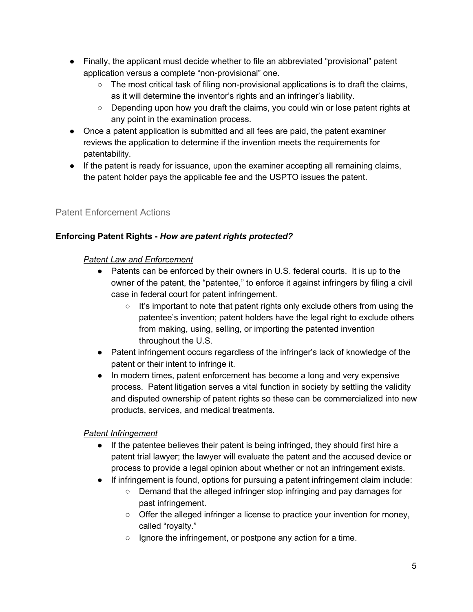- Finally, the applicant must decide whether to file an abbreviated "provisional" patent application versus a complete "non-provisional" one.
	- The most critical task of filing non-provisional applications is to draft the claims, as it will determine the inventor's rights and an infringer's liability.
	- $\circ$  Depending upon how you draft the claims, you could win or lose patent rights at any point in the examination process.
- Once a patent application is submitted and all fees are paid, the patent examiner reviews the application to determine if the invention meets the requirements for patentability.
- If the patent is ready for issuance, upon the examiner accepting all remaining claims, the patent holder pays the applicable fee and the USPTO issues the patent.

## Patent Enforcement Actions

## **Enforcing Patent Rights -** *How are patent rights protected?*

## *Patent Law and Enforcement*

- Patents can be enforced by their owners in U.S. federal courts. It is up to the owner of the patent, the "patentee," to enforce it against infringers by filing a civil case in federal court for patent infringement.
	- It's important to note that patent rights only exclude others from using the patentee's invention; patent holders have the legal right to exclude others from making, using, selling, or importing the patented invention throughout the U.S.
- Patent infringement occurs regardless of the infringer's lack of knowledge of the patent or their intent to infringe it.
- In modern times, patent enforcement has become a long and very expensive process. Patent litigation serves a vital function in society by settling the validity and disputed ownership of patent rights so these can be commercialized into new products, services, and medical treatments.

#### *Patent Infringement*

- If the patentee believes their patent is being infringed, they should first hire a patent trial lawyer; the lawyer will evaluate the patent and the accused device or process to provide a legal opinion about whether or not an infringement exists.
- If infringement is found, options for pursuing a patent infringement claim include:
	- Demand that the alleged infringer stop infringing and pay damages for past infringement.
	- Offer the alleged infringer a license to practice your invention for money, called "royalty."
	- Ignore the infringement, or postpone any action for a time.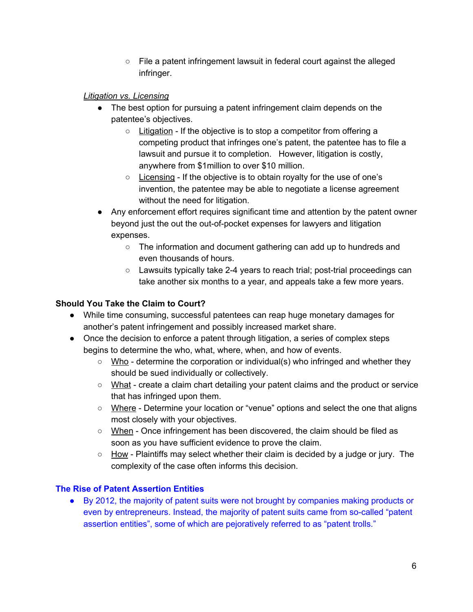○ File a patent infringement lawsuit in federal court against the alleged infringer.

## *Litigation vs. Licensing*

- The best option for pursuing a patent infringement claim depends on the patentee's objectives.
	- $\circ$  Litigation If the objective is to stop a competitor from offering a competing product that infringes one's patent, the patentee has to file a lawsuit and pursue it to completion. However, litigation is costly, anywhere from \$1million to over \$10 million.
	- Licensing If the objective is to obtain royalty for the use of one's invention, the patentee may be able to negotiate a license agreement without the need for litigation.
- Any enforcement effort requires significant time and attention by the patent owner beyond just the out the out-of-pocket expenses for lawyers and litigation expenses.
	- The information and document gathering can add up to hundreds and even thousands of hours.
	- Lawsuits typically take 2-4 years to reach trial; post-trial proceedings can take another six months to a year, and appeals take a few more years.

## **Should You Take the Claim to Court?**

- **●** While time consuming, successful patentees can reap huge monetary damages for another's patent infringement and possibly increased market share.
- **●** Once the decision to enforce a patent through litigation, a series of complex steps begins to determine the who, what, where, when, and how of events.
	- **○** Who determine the corporation or individual(s) who infringed and whether they should be sued individually or collectively.
	- **○** What create a claim chart detailing your patent claims and the product or service that has infringed upon them.
	- **○** Where Determine your location or "venue" options and select the one that aligns most closely with your objectives.
	- **○** When Once infringement has been discovered, the claim should be filed as soon as you have sufficient evidence to prove the claim.
	- **○** How Plaintiffs may select whether their claim is decided by a judge or jury. The complexity of the case often informs this decision.

## **The Rise of Patent Assertion Entities**

*●* By 2012, the majority of patent suits were not brought by companies making products or even by entrepreneurs. Instead, the majority of patent suits came from so-called "patent assertion entities", some of which are pejoratively referred to as "patent trolls."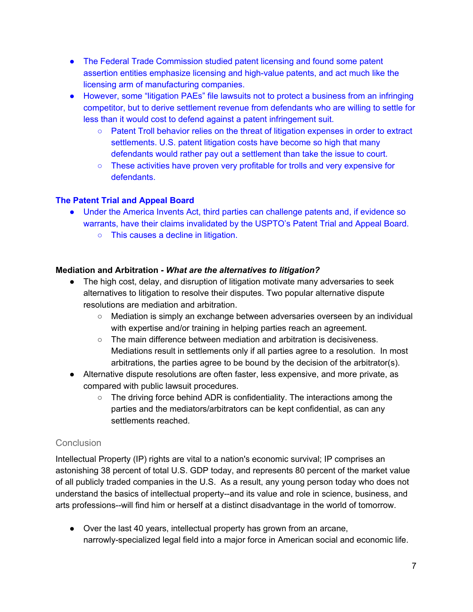- *●* The Federal Trade Commission studied patent licensing and found some patent assertion entities emphasize licensing and high-value patents, and act much like the licensing arm of manufacturing companies.
- However, some "litigation PAEs" file lawsuits not to protect a business from an infringing competitor, but to derive settlement revenue from defendants who are willing to settle for less than it would cost to defend against a patent infringement suit.
	- *○* Patent Troll behavior relies on the threat of litigation expenses in order to extract settlements. U.S. patent litigation costs have become so high that many defendants would rather pay out a settlement than take the issue to court.
	- These activities have proven very profitable for trolls and very expensive for defendants.

## **The Patent Trial and Appeal Board**

- Under the America Invents Act, third parties can challenge patents and, if evidence so warrants, have their claims invalidated by the USPTO's Patent Trial and Appeal Board.
	- This causes a decline in litigation.

## **Mediation and Arbitration** *- What are the alternatives to litigation?*

- The high cost, delay, and disruption of litigation motivate many adversaries to seek alternatives to litigation to resolve their disputes. Two popular alternative dispute resolutions are mediation and arbitration.
	- Mediation is simply an exchange between adversaries overseen by an individual with expertise and/or training in helping parties reach an agreement.
	- The main difference between mediation and arbitration is decisiveness. Mediations result in settlements only if all parties agree to a resolution. In most arbitrations, the parties agree to be bound by the decision of the arbitrator(s).
- Alternative dispute resolutions are often faster, less expensive, and more private, as compared with public lawsuit procedures.
	- $\circ$  The driving force behind ADR is confidentiality. The interactions among the parties and the mediators/arbitrators can be kept confidential, as can any settlements reached.

## **Conclusion**

Intellectual Property (IP) rights are vital to a nation's economic survival; IP comprises an astonishing 38 percent of total U.S. GDP today, and represents 80 percent of the market value of all publicly traded companies in the U.S. As a result, any young person today who does not understand the basics of intellectual property--and its value and role in science, business, and arts professions--will find him or herself at a distinct disadvantage in the world of tomorrow.

● Over the last 40 years, intellectual property has grown from an arcane, narrowly-specialized legal field into a major force in American social and economic life.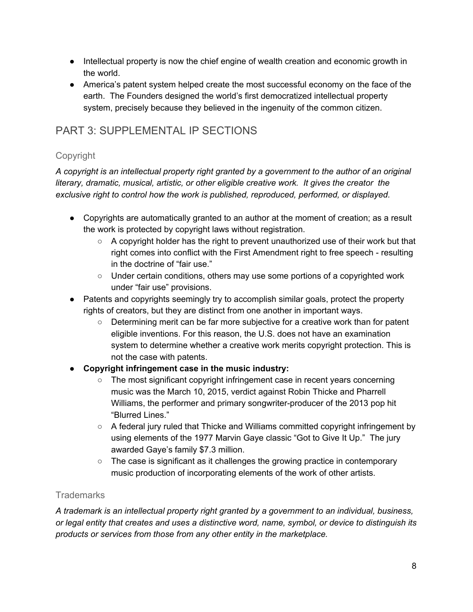- Intellectual property is now the chief engine of wealth creation and economic growth in the world.
- America's patent system helped create the most successful economy on the face of the earth. The Founders designed the world's first democratized intellectual property system, precisely because they believed in the ingenuity of the common citizen.

## PART 3: SUPPLEMENTAL IP SECTIONS

## Copyright

*A copyright is an intellectual property right granted by a government to the author of an original literary, dramatic, musical, artistic, or other eligible creative work. It gives the creator the exclusive right to control how the work is published, reproduced, performed, or displayed.*

- Copyrights are automatically granted to an author at the moment of creation; as a result the work is protected by copyright laws without registration.
	- $\circ$  A copyright holder has the right to prevent unauthorized use of their work but that right comes into conflict with the First Amendment right to free speech - resulting in the doctrine of "fair use."
	- Under certain conditions, others may use some portions of a copyrighted work under "fair use" provisions.
- Patents and copyrights seemingly try to accomplish similar goals, protect the property rights of creators, but they are distinct from one another in important ways.
	- Determining merit can be far more subjective for a creative work than for patent eligible inventions. For this reason, the U.S. does not have an examination system to determine whether a creative work merits copyright protection. This is not the case with patents.
- **● Copyright infringement case in the music industry:**
	- The most significant copyright infringement case in recent years concerning music was the March 10, 2015, verdict against Robin Thicke and Pharrell Williams, the performer and primary songwriter-producer of the 2013 pop hit "Blurred Lines."
	- $\circ$  A federal jury ruled that Thicke and Williams committed copyright infringement by using elements of the 1977 Marvin Gaye classic "Got to Give It Up." The jury awarded Gaye's family \$7.3 million.
	- The case is significant as it challenges the growing practice in contemporary music production of incorporating elements of the work of other artists.

## **Trademarks**

*A trademark is an intellectual property right granted by a government to an individual, business, or legal entity that creates and uses a distinctive word, name, symbol, or device to distinguish its products or services from those from any other entity in the marketplace.*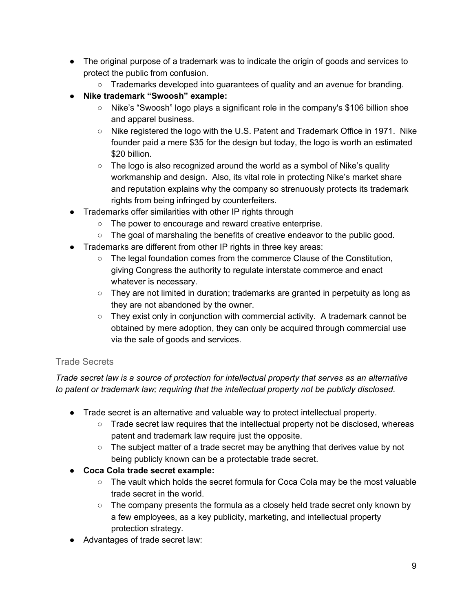- The original purpose of a trademark was to indicate the origin of goods and services to protect the public from confusion.
	- Trademarks developed into guarantees of quality and an avenue for branding.
- **● Nike trademark "Swoosh" example:**
	- Nike's "Swoosh" logo plays a significant role in the company's \$106 billion shoe and apparel business.
	- Nike registered the logo with the U.S. Patent and Trademark Office in 1971. Nike founder paid a mere \$35 for the design but today, the logo is worth an estimated \$20 billion.
	- The logo is also recognized around the world as a symbol of Nike's quality workmanship and design. Also, its vital role in protecting Nike's market share and reputation explains why the company so strenuously protects its trademark rights from being infringed by counterfeiters.
- Trademarks offer similarities with other IP rights through
	- The power to encourage and reward creative enterprise.
	- $\circ$  The goal of marshaling the benefits of creative endeavor to the public good.
- Trademarks are different from other IP rights in three key areas:
	- $\circ$  The legal foundation comes from the commerce Clause of the Constitution, giving Congress the authority to regulate interstate commerce and enact whatever is necessary.
	- They are not limited in duration; trademarks are granted in perpetuity as long as they are not abandoned by the owner.
	- $\circ$  They exist only in conjunction with commercial activity. A trademark cannot be obtained by mere adoption, they can only be acquired through commercial use via the sale of goods and services.

## Trade Secrets

*Trade secret law is a source of protection for intellectual property that serves as an alternative to patent or trademark law; requiring that the intellectual property not be publicly disclosed.*

- Trade secret is an alternative and valuable way to protect intellectual property.
	- Trade secret law requires that the intellectual property not be disclosed, whereas patent and trademark law require just the opposite.
	- $\circ$  The subject matter of a trade secret may be anything that derives value by not being publicly known can be a protectable trade secret.
- **● Coca Cola trade secret example:**
	- The vault which holds the secret formula for Coca Cola may be the most valuable trade secret in the world.
	- The company presents the formula as a closely held trade secret only known by a few employees, as a key publicity, marketing, and intellectual property protection strategy.
- Advantages of trade secret law: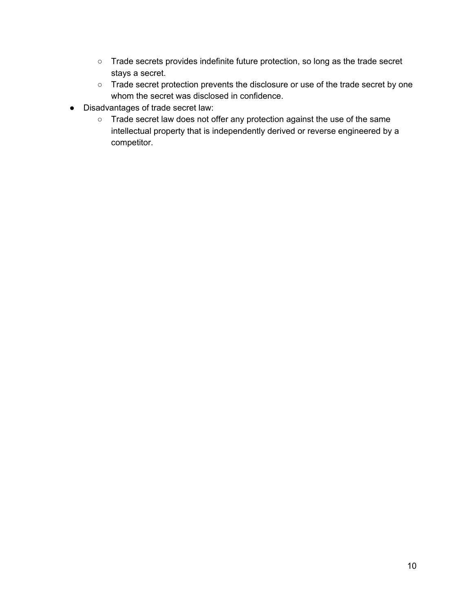- Trade secrets provides indefinite future protection, so long as the trade secret stays a secret.
- Trade secret protection prevents the disclosure or use of the trade secret by one whom the secret was disclosed in confidence.
- Disadvantages of trade secret law:
	- Trade secret law does not offer any protection against the use of the same intellectual property that is independently derived or reverse engineered by a competitor.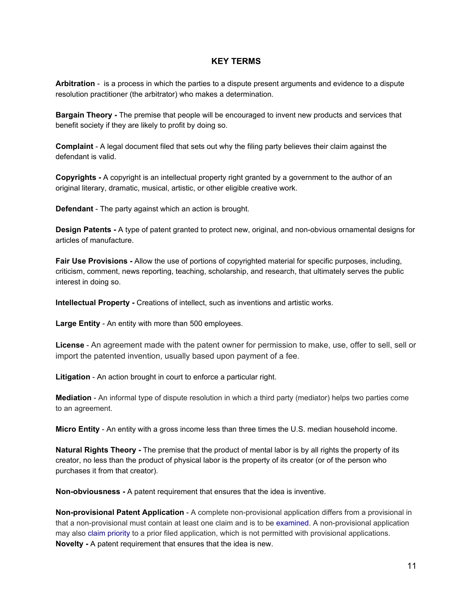#### **KEY TERMS**

**Arbitration** - is a process in which the parties to a dispute present arguments and evidence to a dispute resolution practitioner (the arbitrator) who makes a determination.

**Bargain Theory -** The premise that people will be encouraged to invent new products and services that benefit society if they are likely to profit by doing so.

**Complaint** - A legal document filed that sets out why the filing party believes their claim against the defendant is valid.

**Copyrights -** A copyright is an intellectual property right granted by a government to the author of an original literary, dramatic, musical, artistic, or other eligible creative work.

**Defendant** - The party against which an action is brought.

**Design Patents -** A type of patent granted to protect new, original, and non-obvious ornamental designs for articles of manufacture.

**Fair Use Provisions -** Allow the use of portions of copyrighted material for specific purposes, including, criticism, comment, news reporting, teaching, scholarship, and research, that ultimately serves the public interest in doing so.

**Intellectual Property -** Creations of intellect, such as inventions and artistic works.

**Large Entity** - An entity with more than 500 employees.

**License** - An agreement made with the patent owner for permission to make, use, offer to sell, sell or import the patented invention, usually based upon payment of a fee.

**Litigation** - An action brought in court to enforce a particular right.

**Mediation** - An informal type of dispute resolution in which a third party (mediator) helps two parties come to an agreement.

**Micro Entity** - An entity with a gross income less than three times the U.S. median household income.

**Natural Rights Theory -** The premise that the product of mental labor is by all rights the property of its creator, no less than the product of physical labor is the property of its creator (or of the person who purchases it from that creator).

**Non-obviousness -** A patent requirement that ensures that the idea is inventive.

**Non-provisional Patent Application** - A complete non-provisional application differs from a provisional in that a non-provisional must contain at least one claim and is to be [examined.](https://en.wikipedia.org/wiki/Patent_examination) A non-provisional application may also [claim priority](https://en.wikipedia.org/wiki/Priority_right) to a prior filed application, which is not permitted with provisional applications. **Novelty -** A patent requirement that ensures that the idea is new.